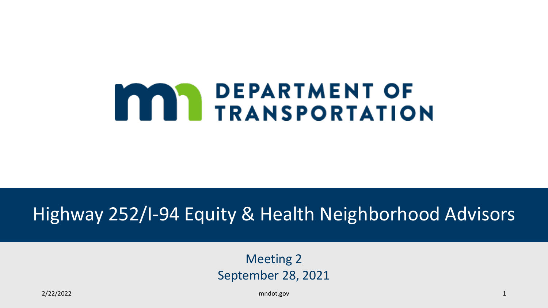# **MAN DEPARTMENT OF<br>TRANSPORTATION**

### Highway 252/I-94 Equity & Health Neighborhood Advisors

#### Meeting 2 September 28, 2021

2/22/2022 mndot.gov 1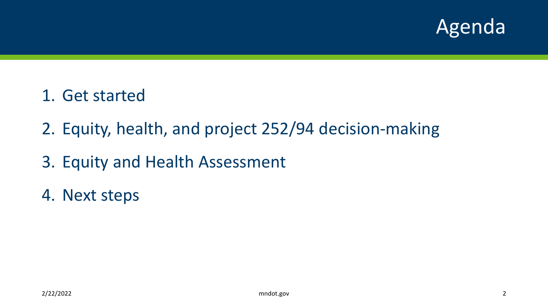

- 1. Get started
- 2. Equity, health, and project 252/94 decision-making
- 3. Equity and Health Assessment
- 4. Next steps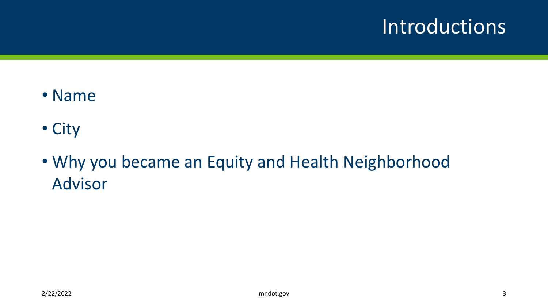# **Introductions**

- Name
- City
- Why you became an Equity and Health Neighborhood Advisor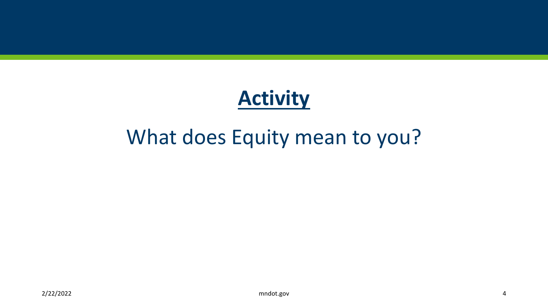# **Activity**

# What does Equity mean to you?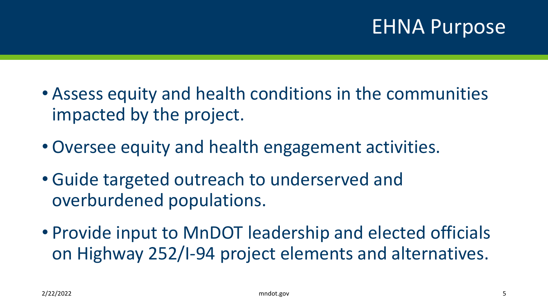# EHNA Purpose

- Assess equity and health conditions in the communities impacted by the project.
- Oversee equity and health engagement activities.
- Guide targeted outreach to underserved and overburdened populations.
- Provide input to MnDOT leadership and elected officials on Highway 252/I-94 project elements and alternatives.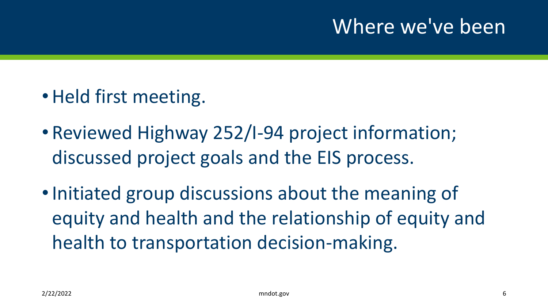# Where we've been

- Held first meeting.
- Reviewed Highway 252/I-94 project information; discussed project goals and the EIS process.
- Initiated group discussions about the meaning of equity and health and the relationship of equity and health to transportation decision-making.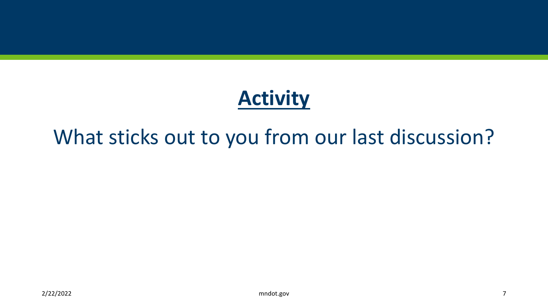# **Activity**

# What sticks out to you from our last discussion?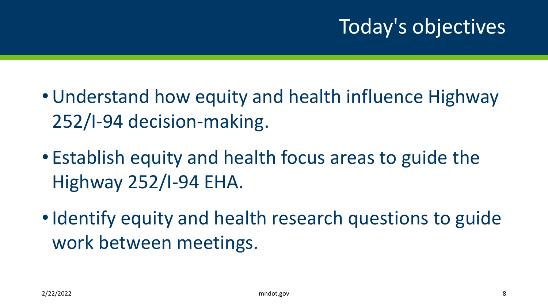# Today's objectives

- •Understand how equity and health influence Highway 252/I-94 decision-making.
- Establish equity and health focus areas to guide the Highway 252/I-94 EHA.
- Identify equity and health research questions to guide work between meetings.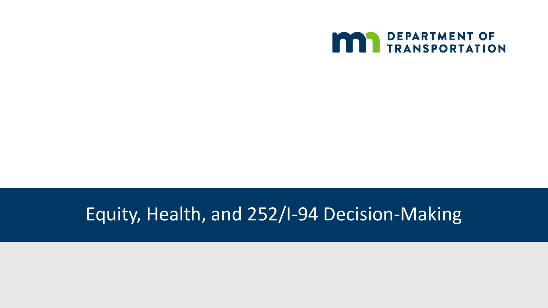

#### Equity, Health, and 252/I-94 Decision-Making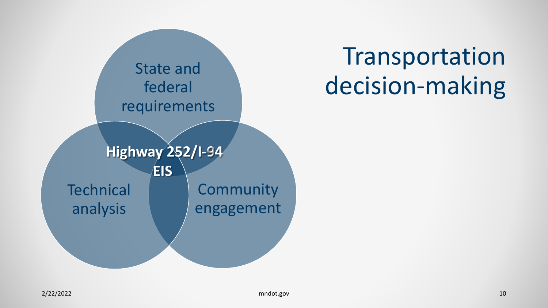

# **Transportation** decision-making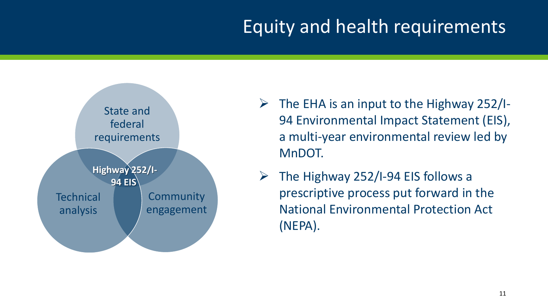# Equity and health requirements



- $\triangleright$  The EHA is an input to the Highway 252/I-94 Environmental Impact Statement (EIS), a multi-year environmental review led by MnDOT.
- $\triangleright$  The Highway 252/I-94 EIS follows a prescriptive process put forward in the National Environmental Protection Act (NEPA).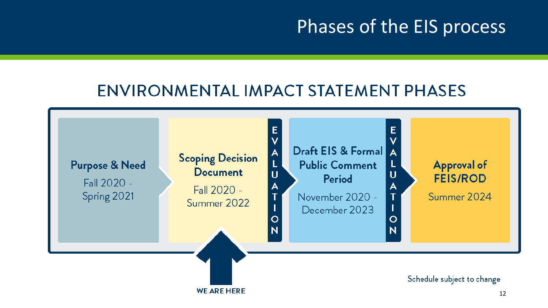## Phases of the EIS process

#### **ENVIRONMENTAL IMPACT STATEMENT PHASES**

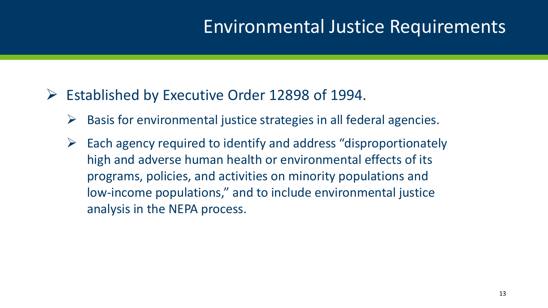### Environmental Justice Requirements

#### $\triangleright$  Established by Executive Order 12898 of 1994.

- $\triangleright$  Basis for environmental justice strategies in all federal agencies.
- $\triangleright$  Each agency required to identify and address "disproportionately" high and adverse human health or environmental effects of its programs, policies, and activities on minority populations and low-income populations," and to include environmental justice analysis in the NEPA process.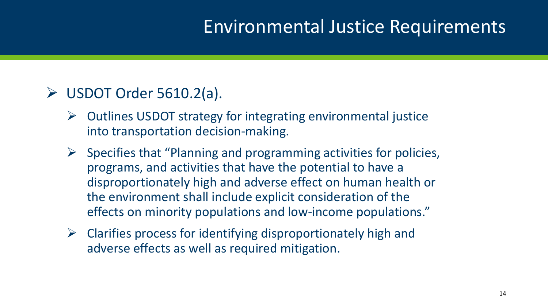### Environmental Justice Requirements

#### $\triangleright$  USDOT Order 5610.2(a).

- $\triangleright$  Outlines USDOT strategy for integrating environmental justice into transportation decision-making.
- $\triangleright$  Specifies that "Planning and programming activities for policies, programs, and activities that have the potential to have a disproportionately high and adverse effect on human health or the environment shall include explicit consideration of the effects on minority populations and low-income populations."
- $\triangleright$  Clarifies process for identifying disproportionately high and adverse effects as well as required mitigation.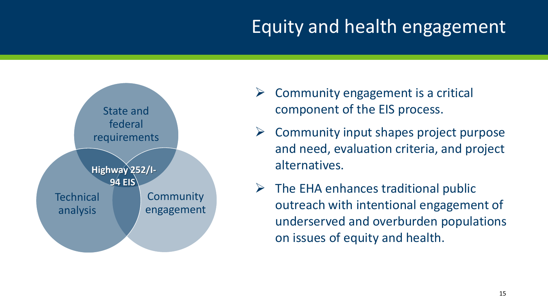# Equity and health engagement



- $\triangleright$  Community engagement is a critical component of the EIS process.
- $\triangleright$  Community input shapes project purpose and need, evaluation criteria, and project alternatives.
- $\triangleright$  The EHA enhances traditional public outreach with intentional engagement of underserved and overburden populations on issues of equity and health.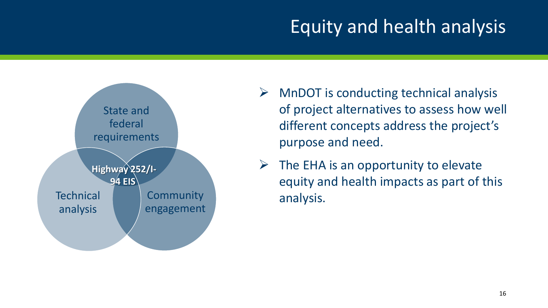# Equity and health analysis



- $\triangleright$  MnDOT is conducting technical analysis of project alternatives to assess how well different concepts address the project's purpose and need.
- $\triangleright$  The EHA is an opportunity to elevate equity and health impacts as part of this analysis.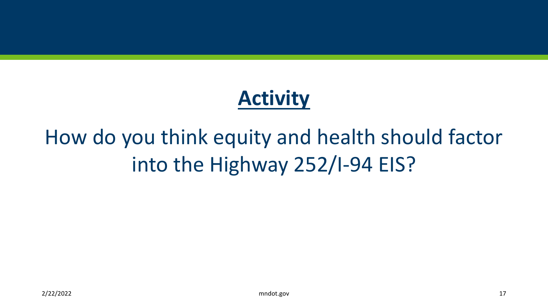# **Activity**

# How do you think equity and health should factor into the Highway 252/I-94 EIS?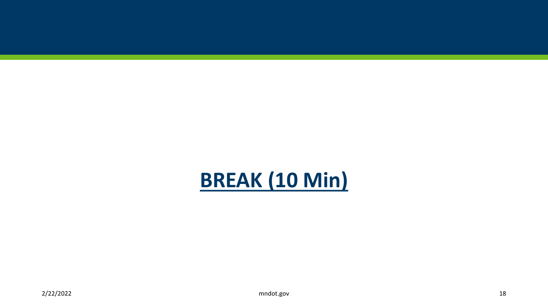# **BREAK (10 Min)**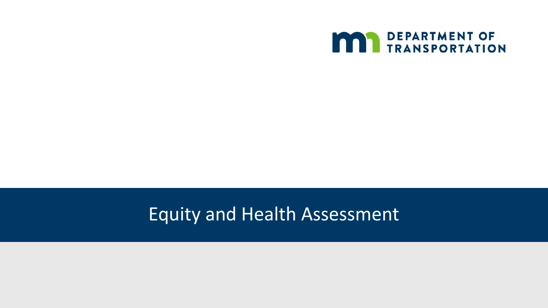

### Equity and Health Assessment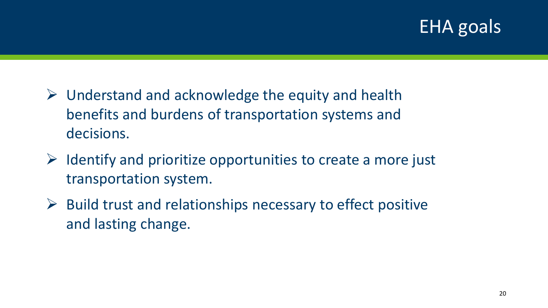#### EHA goals

- $\triangleright$  Understand and acknowledge the equity and health benefits and burdens of transportation systems and decisions.
- $\triangleright$  Identify and prioritize opportunities to create a more just transportation system.
- $\triangleright$  Build trust and relationships necessary to effect positive and lasting change.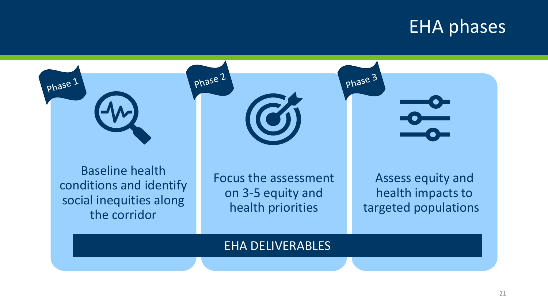#### EHA phases

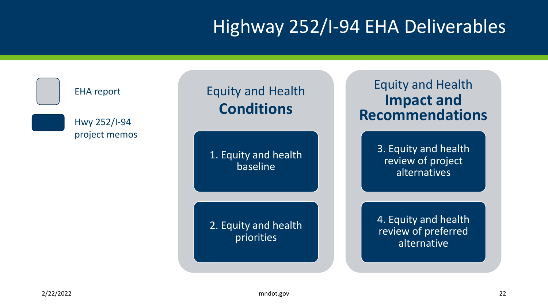# Highway 252/I-94 EHA Deliverables

Hwy 252/I-94 project memos

EHA report

#### Equity and Health **Conditions**

1. Equity and health baseline

2. Equity and health priorities

Equity and Health **Impact and Recommendations**

> 3. Equity and health review of project alternatives

4. Equity and health review of preferred alternative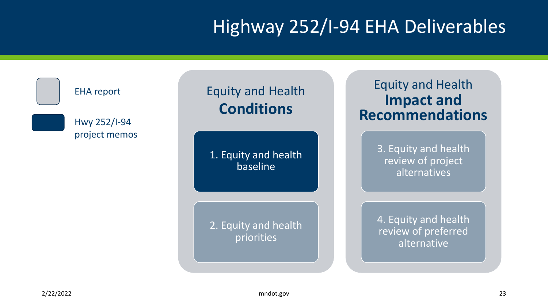# Highway 252/I-94 EHA Deliverables

Hwy 252/I-94 project memos

EHA report

Equity and Health **Conditions**

1. Equity and health baseline

2. Equity and health priorities

Equity and Health **Impact and Recommendations**

> 3. Equity and health review of project alternatives

4. Equity and health review of preferred alternative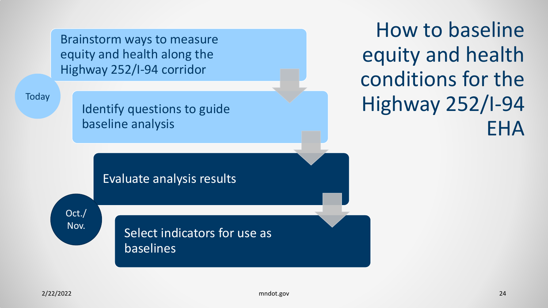Brainstorm ways to measure equity and health along the Highway 252/I-94 corridor

**Today** 

Identify questions to guide baseline analysis

How to baseline equity and health conditions for the Highway 252/I-94 EHA

Evaluate analysis results

Oct./ Nov.

Select indicators for use as baselines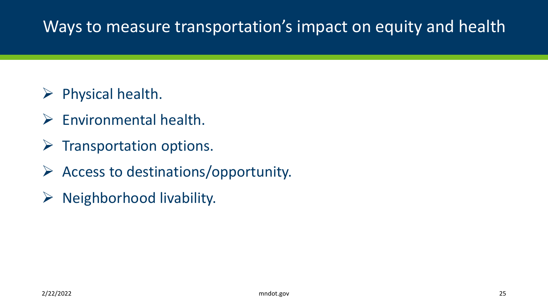#### Ways to measure transportation's impact on equity and health

- $\triangleright$  Physical health.
- $\triangleright$  Environmental health.
- $\triangleright$  Transportation options.
- $\triangleright$  Access to destinations/opportunity.
- $\triangleright$  Neighborhood livability.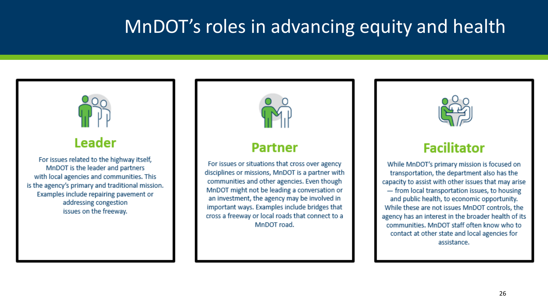# MnDOT's roles in advancing equity and health

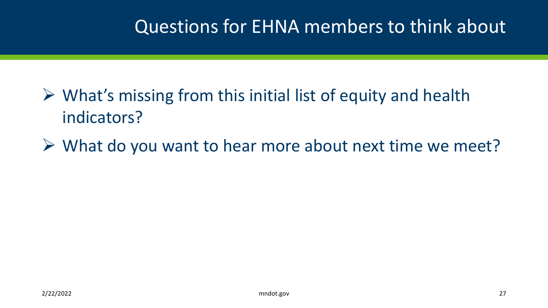### Questions for EHNA members to think about

- $\triangleright$  What's missing from this initial list of equity and health indicators?
- $\triangleright$  What do you want to hear more about next time we meet?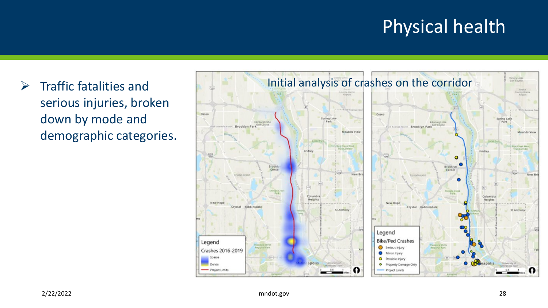# Physical health

 $\triangleright$  Traffic fatalities and serious injuries, broken down by mode and demographic categories.

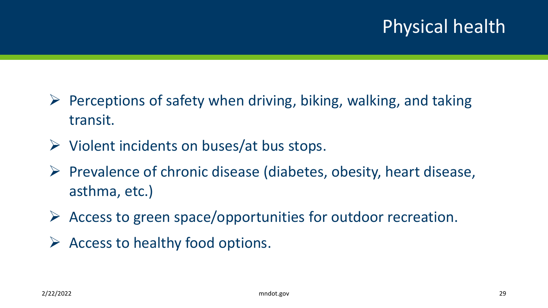# Physical health

- $\triangleright$  Perceptions of safety when driving, biking, walking, and taking transit.
- $\triangleright$  Violent incidents on buses/at bus stops.
- $\triangleright$  Prevalence of chronic disease (diabetes, obesity, heart disease, asthma, etc.)
- $\triangleright$  Access to green space/opportunities for outdoor recreation.
- $\triangleright$  Access to healthy food options.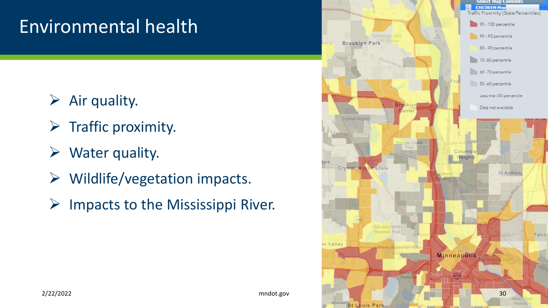# Environmental health

- $\triangleright$  Air quality.
- $\triangleright$  Traffic proximity.
- $\triangleright$  Water quality.
- $\triangleright$  Wildlife/vegetation impacts.
- $\triangleright$  Impacts to the Mississippi River.

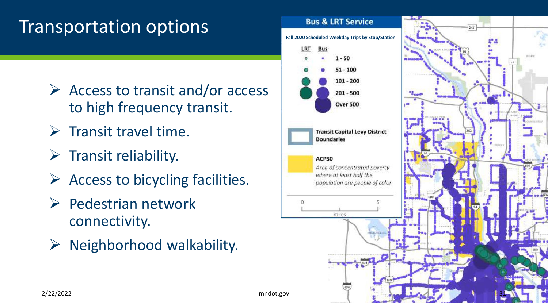# Transportation options

- $\triangleright$  Access to transit and/or access to high frequency transit.
- $\triangleright$  Transit travel time.
- $\triangleright$  Transit reliability.
- $\triangleright$  Access to bicycling facilities.
- $\triangleright$  Pedestrian network connectivity.
- $\triangleright$  Neighborhood walkability.

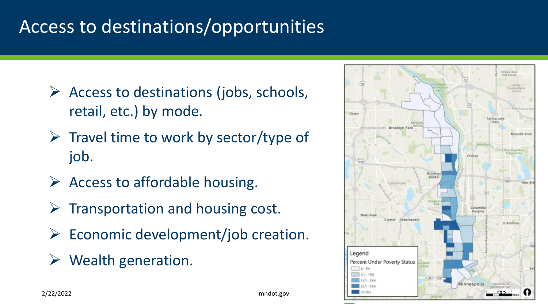# Access to destinations/opportunities

- $\triangleright$  Access to destinations (jobs, schools, retail, etc.) by mode.
- $\triangleright$  Travel time to work by sector/type of job.
- $\triangleright$  Access to affordable housing.
- $\triangleright$  Transportation and housing cost.
- $\triangleright$  Economic development/job creation.
- $\triangleright$  Wealth generation.

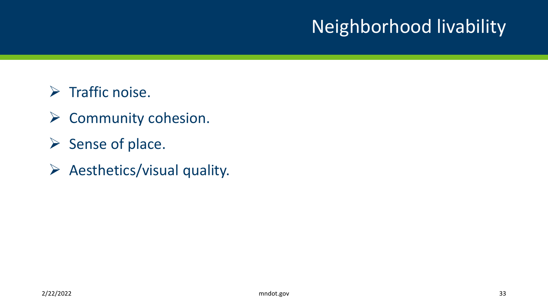# Neighborhood livability

- $\triangleright$  Traffic noise.
- $\triangleright$  Community cohesion.
- $\triangleright$  Sense of place.
- $\triangleright$  Aesthetics/visual quality.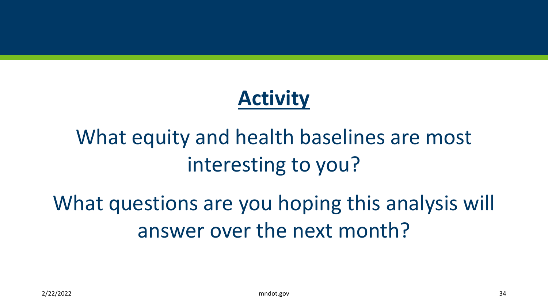# **Activity**

# What equity and health baselines are most interesting to you?

# What questions are you hoping this analysis will answer over the next month?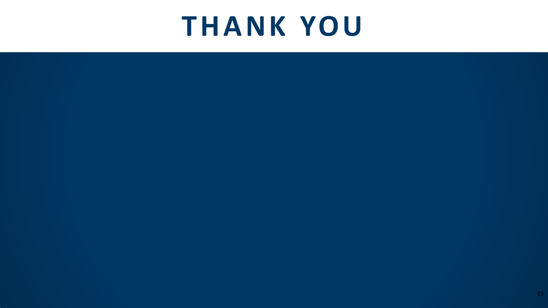# **THANK YOU**